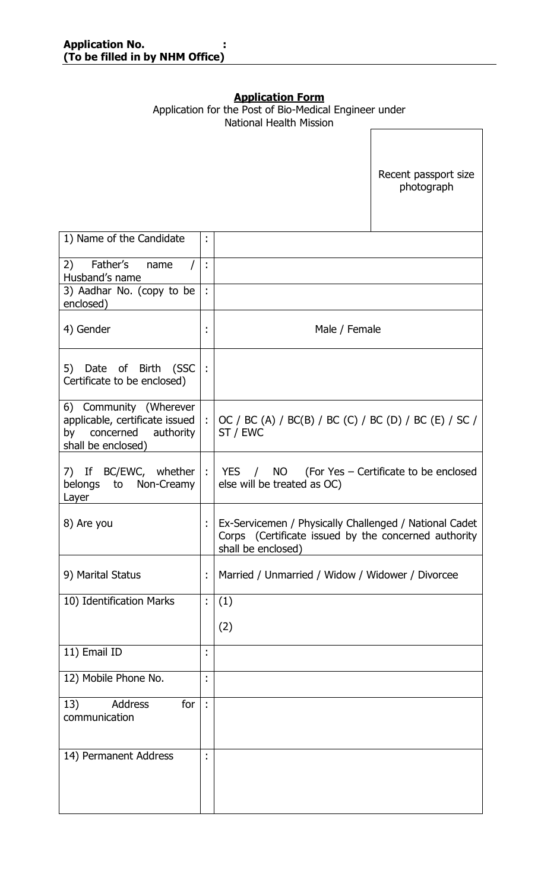# **Application Form**

|                                                                                                          |                      | <u>APPROJESI 1 VIIII</u><br>Application for the Post of Bio-Medical Engineer under<br><b>National Health Mission</b>                 |
|----------------------------------------------------------------------------------------------------------|----------------------|--------------------------------------------------------------------------------------------------------------------------------------|
|                                                                                                          |                      | Recent passport size<br>photograph                                                                                                   |
| 1) Name of the Candidate                                                                                 | ÷                    |                                                                                                                                      |
| Father's<br>2)<br>name<br>Husband's name                                                                 | ÷                    |                                                                                                                                      |
| 3) Aadhar No. (copy to be<br>enclosed)                                                                   | $\ddot{\phantom{a}}$ |                                                                                                                                      |
| 4) Gender                                                                                                | ٠<br>$\blacksquare$  | Male / Female                                                                                                                        |
| 5) Date of Birth (SSC<br>Certificate to be enclosed)                                                     | ÷                    |                                                                                                                                      |
| 6) Community (Wherever<br>applicable, certificate issued<br>by concerned authority<br>shall be enclosed) |                      | : $\vert$ OC / BC (A) / BC(B) / BC (C) / BC (D) / BC (E) / SC /<br>ST / EWC                                                          |
| 7) If BC/EWC, whether<br>belongs to Non-Creamy<br>Layer                                                  |                      | $:$   YES $/$ NO (For Yes – Certificate to be enclosed<br>else will be treated as OC)                                                |
| 8) Are you                                                                                               | ÷                    | Ex-Servicemen / Physically Challenged / National Cadet<br>Corps (Certificate issued by the concerned authority<br>shall be enclosed) |
| 9) Marital Status                                                                                        | ÷                    | Married / Unmarried / Widow / Widower / Divorcee                                                                                     |
| 10) Identification Marks                                                                                 | t,                   | (1)<br>(2)                                                                                                                           |
| 11) Email ID                                                                                             | ٠                    |                                                                                                                                      |
| 12) Mobile Phone No.                                                                                     | $\bullet$            |                                                                                                                                      |
| 13)<br>for<br><b>Address</b><br>communication                                                            | ÷                    |                                                                                                                                      |
| 14) Permanent Address                                                                                    | $\blacksquare$       |                                                                                                                                      |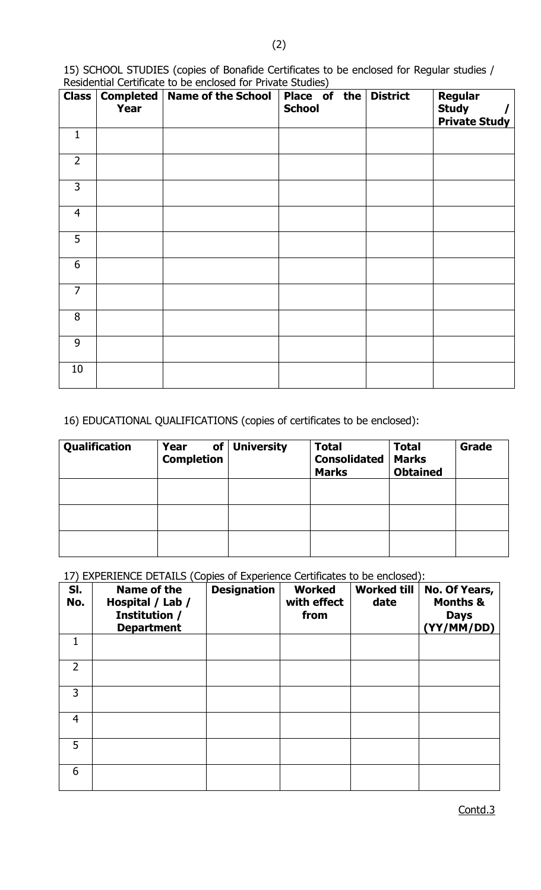15) SCHOOL STUDIES (copies of Bonafide Certificates to be enclosed for Regular studies / Residential Certificate to be enclosed for Private Studies)

| <b>Class</b>   | Completed<br><b>Year</b> | <b>Name of the School</b> | Place of the District<br><b>School</b> | <b>Regular</b><br><b>Study</b> |
|----------------|--------------------------|---------------------------|----------------------------------------|--------------------------------|
|                |                          |                           |                                        | <b>Private Study</b>           |
| $\mathbf{1}$   |                          |                           |                                        |                                |
| $\overline{2}$ |                          |                           |                                        |                                |
| $\overline{3}$ |                          |                           |                                        |                                |
| $\overline{4}$ |                          |                           |                                        |                                |
| 5              |                          |                           |                                        |                                |
| 6              |                          |                           |                                        |                                |
| $\overline{7}$ |                          |                           |                                        |                                |
| 8              |                          |                           |                                        |                                |
| 9              |                          |                           |                                        |                                |
| 10             |                          |                           |                                        |                                |

16) EDUCATIONAL QUALIFICATIONS (copies of certificates to be enclosed):

| Qualification | Year<br><b>Completion</b> | of University | <b>Total</b><br><b>Consolidated</b><br><b>Marks</b> | <b>Total</b><br><b>Marks</b><br><b>Obtained</b> | Grade |
|---------------|---------------------------|---------------|-----------------------------------------------------|-------------------------------------------------|-------|
|               |                           |               |                                                     |                                                 |       |
|               |                           |               |                                                     |                                                 |       |
|               |                           |               |                                                     |                                                 |       |

17) EXPERIENCE DETAILS (Copies of Experience Certificates to be enclosed):

| SI.<br>No.     | Name of the<br>Hospital / Lab /<br>Institution /<br><b>Department</b> | <b>Designation</b> | <b>Worked</b><br>with effect<br>from | <b>Worked till</b><br>date | No. Of Years,<br><b>Months &amp;</b><br><b>Days</b><br>(YY/MM/DD) |
|----------------|-----------------------------------------------------------------------|--------------------|--------------------------------------|----------------------------|-------------------------------------------------------------------|
|                |                                                                       |                    |                                      |                            |                                                                   |
| $\overline{2}$ |                                                                       |                    |                                      |                            |                                                                   |
| 3              |                                                                       |                    |                                      |                            |                                                                   |
| $\overline{4}$ |                                                                       |                    |                                      |                            |                                                                   |
| 5              |                                                                       |                    |                                      |                            |                                                                   |
| 6              |                                                                       |                    |                                      |                            |                                                                   |

Contd.3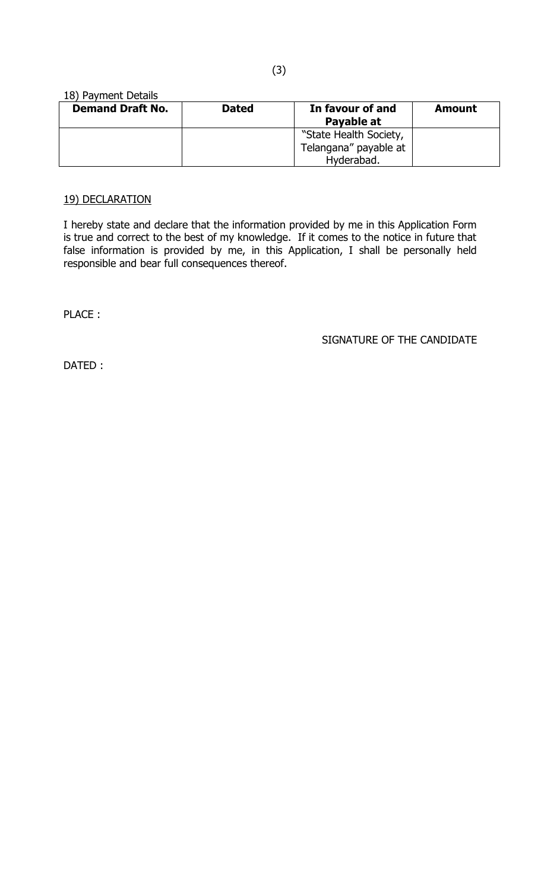#### 18) Payment Details

| <b>Demand Draft No.</b> | <b>Dated</b> | In favour of and<br>Payable at | <b>Amount</b> |
|-------------------------|--------------|--------------------------------|---------------|
|                         |              | "State Health Society,         |               |
|                         |              | Telangana" payable at          |               |
|                         |              | Hyderabad.                     |               |

### 19) DECLARATION

I hereby state and declare that the information provided by me in this Application Form is true and correct to the best of my knowledge. If it comes to the notice in future that false information is provided by me, in this Application, I shall be personally held responsible and bear full consequences thereof.

PLACE :

SIGNATURE OF THE CANDIDATE

DATED :